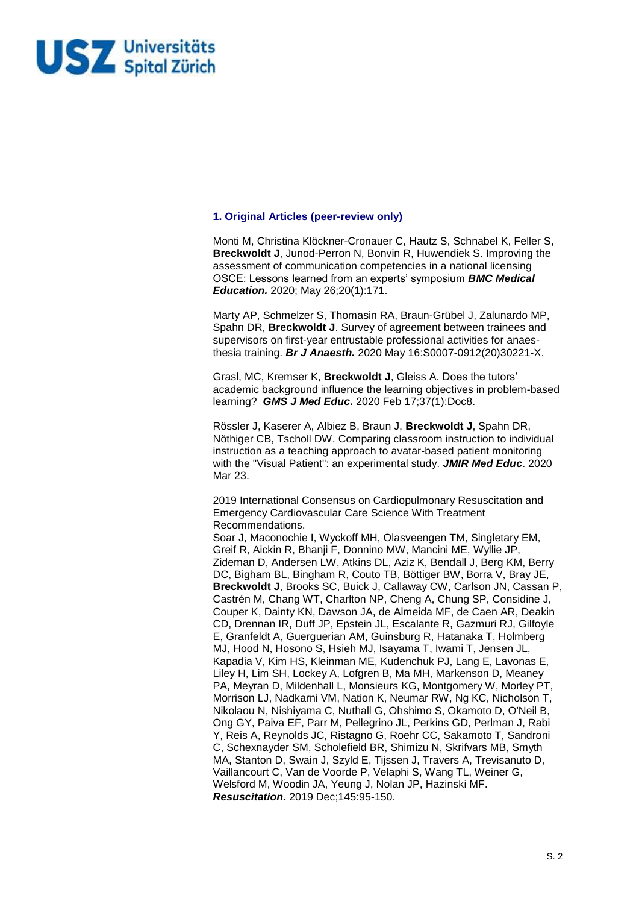

### **1. Original Articles (peer-review only)**

Monti M, Christina Klöckner-Cronauer C, Hautz S, Schnabel K, Feller S, **Breckwoldt J**, Junod-Perron N, Bonvin R, Huwendiek S. Improving the assessment of communication competencies in a national licensing OSCE: Lessons learned from an experts' symposium *BMC Medical Education.* 2020; May 26;20(1):171.

Marty AP, Schmelzer S, Thomasin RA, Braun-Grübel J, Zalunardo MP, Spahn DR, **Breckwoldt J**. Survey of agreement between trainees and supervisors on first-year entrustable professional activities for anaesthesia training. *Br J Anaesth.* 2020 May 16:S0007-0912(20)30221-X.

Grasl, MC, Kremser K, **Breckwoldt J**, Gleiss A. Does the tutors' academic background influence the learning objectives in problem-based learning? *GMS J Med Educ***.** 2020 Feb 17;37(1):Doc8.

Rössler J, Kaserer A, Albiez B, Braun J, **Breckwoldt J**, Spahn DR, Nöthiger CB, Tscholl DW. Comparing classroom instruction to individual instruction as a teaching approach to avatar-based patient monitoring with the "Visual Patient": an experimental study. *JMIR Med Educ*. 2020 Mar 23.

2019 International Consensus on Cardiopulmonary Resuscitation and Emergency Cardiovascular Care Science With Treatment Recommendations.

Soar J, Maconochie I, Wyckoff MH, Olasveengen TM, Singletary EM, Greif R, Aickin R, Bhanji F, Donnino MW, Mancini ME, Wyllie JP, Zideman D, Andersen LW, Atkins DL, Aziz K, Bendall J, Berg KM, Berry DC, Bigham BL, Bingham R, Couto TB, Böttiger BW, Borra V, Bray JE, **Breckwoldt J**, Brooks SC, Buick J, Callaway CW, Carlson JN, Cassan P, Castrén M, Chang WT, Charlton NP, Cheng A, Chung SP, Considine J, Couper K, Dainty KN, Dawson JA, de Almeida MF, de Caen AR, Deakin CD, Drennan IR, Duff JP, Epstein JL, Escalante R, Gazmuri RJ, Gilfoyle E, Granfeldt A, Guerguerian AM, Guinsburg R, Hatanaka T, Holmberg MJ, Hood N, Hosono S, Hsieh MJ, Isayama T, Iwami T, Jensen JL, Kapadia V, Kim HS, Kleinman ME, Kudenchuk PJ, Lang E, Lavonas E, Liley H, Lim SH, Lockey A, Lofgren B, Ma MH, Markenson D, Meaney PA, Meyran D, Mildenhall L, Monsieurs KG, Montgomery W, Morley PT, Morrison LJ, Nadkarni VM, Nation K, Neumar RW, Ng KC, Nicholson T, Nikolaou N, Nishiyama C, Nuthall G, Ohshimo S, Okamoto D, O'Neil B, Ong GY, Paiva EF, Parr M, Pellegrino JL, Perkins GD, Perlman J, Rabi Y, Reis A, Reynolds JC, Ristagno G, Roehr CC, Sakamoto T, Sandroni C, Schexnayder SM, Scholefield BR, Shimizu N, Skrifvars MB, Smyth MA, Stanton D, Swain J, Szyld E, Tijssen J, Travers A, Trevisanuto D, Vaillancourt C, Van de Voorde P, Velaphi S, Wang TL, Weiner G, Welsford M, Woodin JA, Yeung J, Nolan JP, Hazinski MF. *Resuscitation.* 2019 Dec;145:95-150.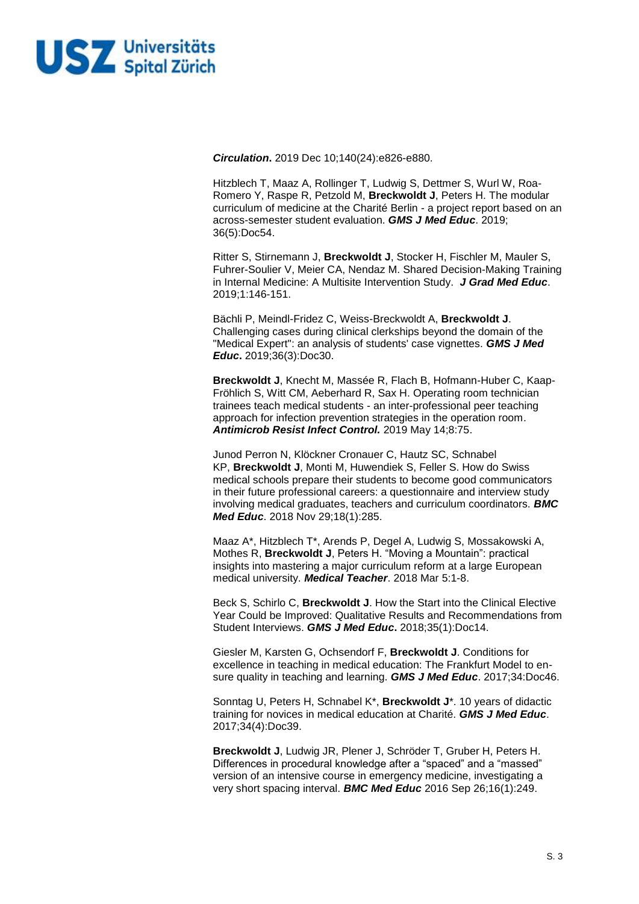

*Circulation***.** 2019 Dec 10;140(24):e826-e880.

Hitzblech T, Maaz A, Rollinger T, Ludwig S, Dettmer S, Wurl W, Roa-Romero Y, Raspe R, Petzold M, **Breckwoldt J**, Peters H. The modular curriculum of medicine at the Charité Berlin - a project report based on an across-semester student evaluation. *GMS J Med Educ*. 2019; 36(5):Doc54.

Ritter S, Stirnemann J, **Breckwoldt J**, Stocker H, Fischler M, Mauler S, Fuhrer-Soulier V, Meier CA, Nendaz M. Shared Decision-Making Training in Internal Medicine: A Multisite Intervention Study. *J Grad Med Educ*. 2019;1:146-151.

Bächli P, Meindl-Fridez C, Weiss-Breckwoldt A, **Breckwoldt J**. Challenging cases during clinical clerkships beyond the domain of the "Medical Expert": an analysis of students' case vignettes. *GMS J Med Educ***.** 2019;36(3):Doc30.

**Breckwoldt J**, Knecht M, Massée R, Flach B, Hofmann-Huber C, Kaap-Fröhlich S, Witt CM, Aeberhard R, Sax H. Operating room technician trainees teach medical students - an inter-professional peer teaching approach for infection prevention strategies in the operation room. *Antimicrob Resist Infect Control.* 2019 May 14;8:75.

Junod Perron N, Klöckner Cronauer C, Hautz SC, Schnabel KP, **Breckwoldt J**, Monti M, Huwendiek S, Feller S. How do Swiss medical schools prepare their students to become good communicators in their future professional careers: a questionnaire and interview study involving medical graduates, teachers and curriculum coordinators. *BMC Med Educ*. 2018 Nov 29;18(1):285.

Maaz A\*, Hitzblech T\*, Arends P, Degel A, Ludwig S, Mossakowski A, Mothes R, **Breckwoldt J**, Peters H. "Moving a Mountain": practical insights into mastering a major curriculum reform at a large European medical university. *Medical Teacher*. 2018 Mar 5:1-8.

Beck S, Schirlo C, **Breckwoldt J**. How the Start into the Clinical Elective Year Could be Improved: Qualitative Results and Recommendations from Student Interviews. *GMS J Med Educ***.** 2018;35(1):Doc14.

Giesler M, Karsten G, Ochsendorf F, **Breckwoldt J**. Conditions for excellence in teaching in medical education: The Frankfurt Model to ensure quality in teaching and learning. *GMS J Med Educ*. 2017;34:Doc46.

Sonntag U, Peters H, Schnabel K\*, **Breckwoldt J**\*. 10 years of didactic training for novices in medical education at Charité. *GMS J Med Educ*. 2017;34(4):Doc39.

**Breckwoldt J**, Ludwig JR, Plener J, Schröder T, Gruber H, Peters H. Differences in procedural knowledge after a "spaced" and a "massed" version of an intensive course in emergency medicine, investigating a very short spacing interval. *BMC Med Educ* 2016 Sep 26;16(1):249.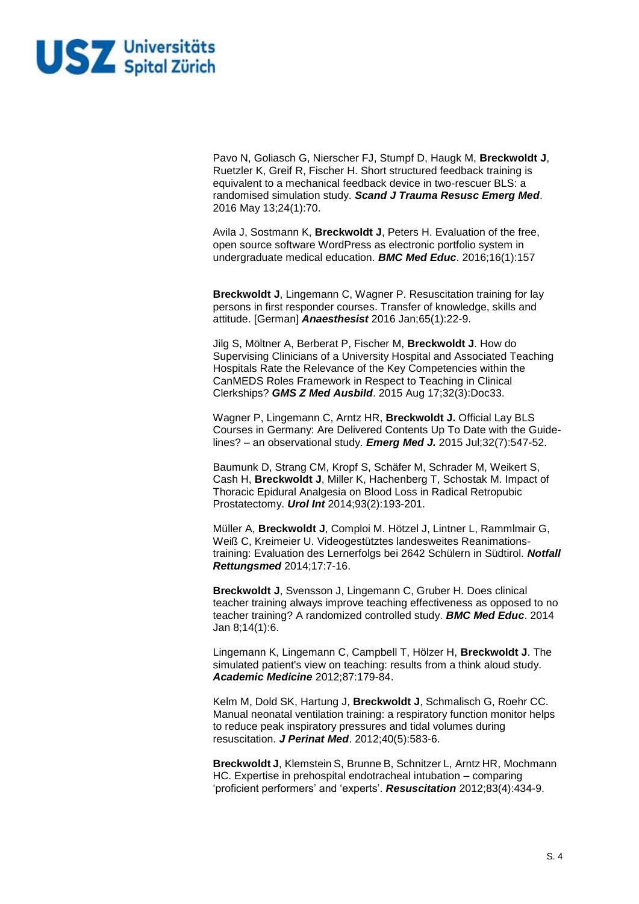

Pavo N, Goliasch G, Nierscher FJ, Stumpf D, Haugk M, **Breckwoldt J**, Ruetzler K, Greif R, Fischer H. Short structured feedback training is equivalent to a mechanical feedback device in two-rescuer BLS: a randomised simulation study. *Scand J Trauma Resusc Emerg Med*. 2016 May 13;24(1):70.

Avila J, Sostmann K, **Breckwoldt J**, Peters H. Evaluation of the free, open source software WordPress as electronic portfolio system in undergraduate medical education. *BMC Med Educ*. 2016;16(1):157

**Breckwoldt J**, Lingemann C, Wagner P. Resuscitation training for lay persons in first responder courses. Transfer of knowledge, skills and attitude. [German] *Anaesthesist* 2016 Jan;65(1):22-9.

Jilg S, Möltner A, Berberat P, Fischer M, **Breckwoldt J**. How do Supervising Clinicians of a University Hospital and Associated Teaching Hospitals Rate the Relevance of the Key Competencies within the CanMEDS Roles Framework in Respect to Teaching in Clinical Clerkships? *GMS Z Med Ausbild*. 2015 Aug 17;32(3):Doc33.

Wagner P, Lingemann C, Arntz HR, **Breckwoldt J.** Official Lay BLS Courses in Germany: Are Delivered Contents Up To Date with the Guidelines? – an observational study. *Emerg Med J.* 2015 Jul;32(7):547-52.

Baumunk D, Strang CM, Kropf S, Schäfer M, Schrader M, Weikert S, Cash H, **Breckwoldt J**, Miller K, Hachenberg T, Schostak M. Impact of Thoracic Epidural Analgesia on Blood Loss in Radical Retropubic Prostatectomy. *Urol Int* 2014;93(2):193-201.

Müller A, **Breckwoldt J**, Comploi M. Hötzel J, Lintner L, Rammlmair G, Weiß C, Kreimeier U. Videogestütztes landesweites Reanimationstraining: Evaluation des Lernerfolgs bei 2642 Schülern in Südtirol. *Notfall Rettungsmed* 2014;17:7-16.

**Breckwoldt J**, Svensson J, Lingemann C, Gruber H. Does clinical teacher training always improve teaching effectiveness as opposed to no teacher training? A randomized controlled study. *BMC Med Educ*. 2014 Jan 8;14(1):6.

Lingemann K, Lingemann C, Campbell T, Hölzer H, **Breckwoldt J**. The simulated patient's view on teaching: results from a think aloud study. *Academic Medicine* 2012;87:179-84.

Kelm M, Dold SK, Hartung J, **Breckwoldt J**, Schmalisch G, Roehr CC. Manual neonatal ventilation training: a respiratory function monitor helps to reduce peak inspiratory pressures and tidal volumes during resuscitation. *J Perinat Med*. 2012;40(5):583-6.

**Breckwoldt J**, Klemstein S, Brunne B, Schnitzer L, Arntz HR, Mochmann HC. Expertise in prehospital endotracheal intubation – comparing 'proficient performers' and 'experts'. *Resuscitation* 2012;83(4):434-9.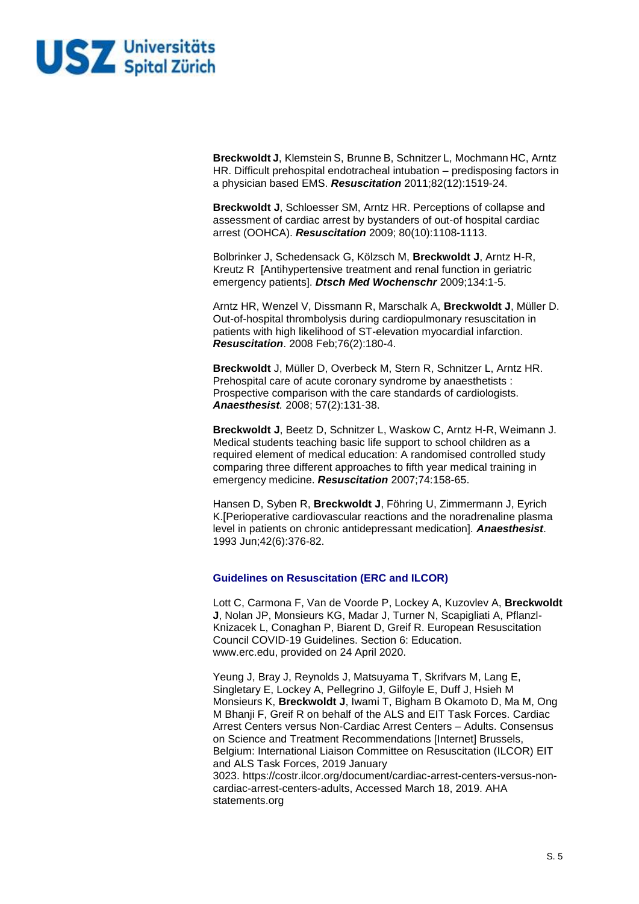

**Breckwoldt J**, Klemstein S, Brunne B, Schnitzer L, Mochmann HC, Arntz HR. Difficult prehospital endotracheal intubation – predisposing factors in a physician based EMS. *Resuscitation* 2011;82(12):1519-24.

**Breckwoldt J**, Schloesser SM, Arntz HR. Perceptions of collapse and assessment of cardiac arrest by bystanders of out-of hospital cardiac arrest (OOHCA). *Resuscitation* 2009; 80(10):1108-1113.

Bolbrinker J, Schedensack G, Kölzsch M, **Breckwoldt J**, Arntz H-R, Kreutz R [Antihypertensive treatment and renal function in geriatric emergency patients]. *Dtsch Med Wochenschr* 2009;134:1-5.

[Arntz HR, Wenzel V, Dissmann R, Marschalk A,](http://www.ncbi.nlm.nih.gov/sites/entrez?Db=pubmed&Cmd=ShowDetailView&TermToSearch=17728040&ordinalpos=2&itool=EntrezSystem2.PEntrez.Pubmed.Pubmed_ResultsPanel.Pubmed_RVDocSum) **Breckwoldt J**, Müller D. Out-of-hospital thrombolysis during cardiopulmonary resuscitation in patients with high likelihood of ST-elevation myocardial infarction. *Resuscitation*. 2008 Feb;76(2):180-4.

**Breckwoldt** [J, Müller D, Overbeck M, Stern R, Schnitzer L, Arntz HR.](http://www.ncbi.nlm.nih.gov/sites/entrez?Db=pubmed&Cmd=ShowDetailView&TermToSearch=18066705&ordinalpos=1&itool=EntrezSystem2.PEntrez.Pubmed.Pubmed_ResultsPanel.Pubmed_RVDocSum) Prehospital care of acute coronary syndrome by anaesthetists : Prospective comparison with the care standards of cardiologists. *Anaesthesist.* 2008; 57(2):131-38.

**Breckwoldt J**, Beetz D, Schnitzer L, Waskow C, Arntz H-R, Weimann J. Medical students teaching basic life support to school children as a required element of medical education: A randomised controlled study comparing three different approaches to fifth year medical training in emergency medicine. *Resuscitation* 2007;74:158-65.

Hansen D, Syben R, **Breckwoldt J**, Föhring U, Zimmermann J, Eyrich K[.\[Perioperative cardiovascular reactions and the noradrenaline plasma](http://www.ncbi.nlm.nih.gov/pubmed/8342747)  [level in patients on chronic antidepressant medication\].](http://www.ncbi.nlm.nih.gov/pubmed/8342747) *Anaesthesist*. 1993 Jun;42(6):376-82.

## **Guidelines on Resuscitation (ERC and ILCOR)**

Lott C, Carmona F, Van de Voorde P, Lockey A, Kuzovlev A, **Breckwoldt J**, Nolan JP, Monsieurs KG, Madar J, Turner N, Scapigliati A, Pflanzl-Knizacek L, Conaghan P, Biarent D, Greif R. European Resuscitation Council COVID-19 Guidelines. Section 6: Education. www.erc.edu, provided on 24 April 2020.

Yeung J, Bray J, Reynolds J, Matsuyama T, Skrifvars M, Lang E, Singletary E, Lockey A, Pellegrino J, Gilfoyle E, Duff J, Hsieh M Monsieurs K, **Breckwoldt J**, Iwami T, Bigham B Okamoto D, Ma M, Ong M Bhanji F, Greif R on behalf of the ALS and EIT Task Forces. Cardiac Arrest Centers versus Non-Cardiac Arrest Centers – Adults. Consensus on Science and Treatment Recommendations [Internet] Brussels, Belgium: International Liaison Committee on Resuscitation (ILCOR) EIT and ALS Task Forces, 2019 January 3023. https://costr.ilcor.org/document/cardiac-arrest-centers-versus-noncardiac-arrest-centers-adults, Accessed March 18, 2019. AHA statements.org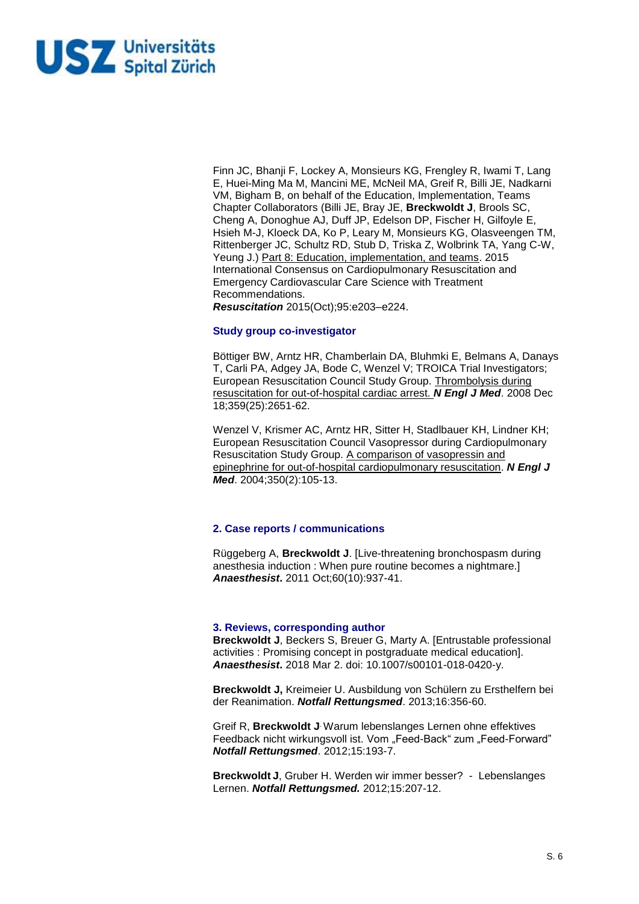

Finn JC, Bhanji F, Lockey A, Monsieurs KG, Frengley R, Iwami T, Lang E, Huei-Ming Ma M, Mancini ME, McNeil MA, Greif R, Billi JE, Nadkarni VM, Bigham B, on behalf of the Education, Implementation, Teams Chapter Collaborators (Billi JE, Bray JE, **Breckwoldt J**, Brools SC, Cheng A, Donoghue AJ, Duff JP, Edelson DP, Fischer H, Gilfoyle E, Hsieh M-J, Kloeck DA, Ko P, Leary M, Monsieurs KG, Olasveengen TM, Rittenberger JC, Schultz RD, Stub D, Triska Z, Wolbrink TA, Yang C-W, Yeung J.) Part 8: Education, implementation, and teams. 2015 International Consensus on Cardiopulmonary Resuscitation and Emergency Cardiovascular Care Science with Treatment Recommendations.

*Resuscitation* 2015(Oct);95:e203–e224.

### **Study group co-investigator**

Böttiger BW, Arntz HR, Chamberlain DA, Bluhmki E, Belmans A, Danays T, Carli PA, Adgey JA, Bode C, Wenzel V; TROICA Trial Investigators; European Resuscitation Council Study Group. [Thrombolysis during](http://www.ncbi.nlm.nih.gov/pubmed/19092151?ordinalpos=1&itool=EntrezSystem2.PEntrez.Pubmed.Pubmed_ResultsPanel.Pubmed_DefaultReportPanel.Pubmed_RVDocSum)  [resuscitation for out-of-hospital cardiac arrest.](http://www.ncbi.nlm.nih.gov/pubmed/19092151?ordinalpos=1&itool=EntrezSystem2.PEntrez.Pubmed.Pubmed_ResultsPanel.Pubmed_DefaultReportPanel.Pubmed_RVDocSum) *N Engl J Med*. 2008 Dec 18;359(25):2651-62.

Wenzel V, Krismer AC, Arntz HR, Sitter H, Stadlbauer KH, Lindner KH; European Resuscitation Council Vasopressor during Cardiopulmonary Resuscitation Study Group. [A comparison of vasopressin and](http://www.ncbi.nlm.nih.gov/pubmed/14711909?ordinalpos=4&itool=EntrezSystem2.PEntrez.Pubmed.Pubmed_ResultsPanel.Pubmed_DefaultReportPanel.Pubmed_RVDocSum)  [epinephrine for out-of-hospital cardiopulmonary resuscitation.](http://www.ncbi.nlm.nih.gov/pubmed/14711909?ordinalpos=4&itool=EntrezSystem2.PEntrez.Pubmed.Pubmed_ResultsPanel.Pubmed_DefaultReportPanel.Pubmed_RVDocSum) *N Engl J Med*. 2004;350(2):105-13.

## **2. Case reports / communications**

Rüggeberg A, **Breckwoldt J**[. \[Live-threatening bronchospasm during](http://www.ncbi.nlm.nih.gov/pubmed/21918825)  anesthesia [induction : When pure routine becomes a nightmare.\]](http://www.ncbi.nlm.nih.gov/pubmed/21918825) *Anaesthesist***.** 2011 Oct;60(10):937-41.

### **3. Reviews, corresponding author**

**Breckwoldt J**, Beckers S, Breuer G, Marty A. [Entrustable professional activities : Promising concept in postgraduate medical education]. *Anaesthesist***.** 2018 Mar 2. doi: 10.1007/s00101-018-0420-y.

**Breckwoldt J,** Kreimeier U. Ausbildung von Schülern zu Ersthelfern bei der Reanimation. *Notfall Rettungsmed*. 2013;16:356-60.

Greif R, **Breckwoldt J**. Warum lebenslanges Lernen ohne effektives Feedback nicht wirkungsvoll ist. Vom "Feed-Back" zum "Feed-Forward" *Notfall Rettungsmed*. 2012;15:193-7.

**Breckwoldt J**, Gruber H. Werden wir immer besser? - Lebenslanges Lernen. *Notfall Rettungsmed.* 2012;15:207-12.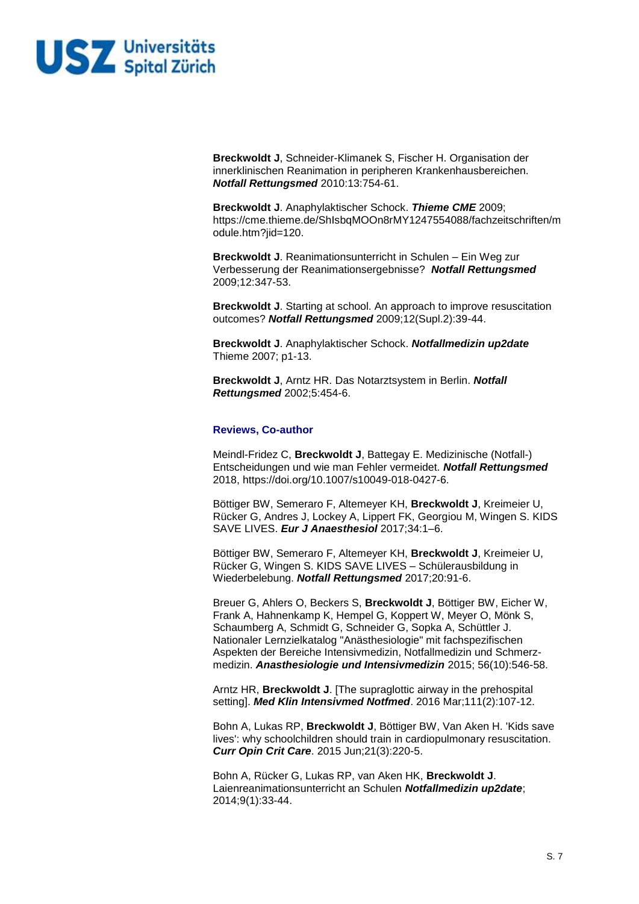

**Breckwoldt J**, Schneider-Klimanek S, Fischer H. Organisation der innerklinischen Reanimation in peripheren Krankenhausbereichen. *Notfall Rettungsmed* 2010:13:754-61.

**Breckwoldt J**. Anaphylaktischer Schock. *Thieme CME* 2009; https://cme.thieme.de/ShIsbqMOOn8rMY1247554088/fachzeitschriften/m odule.htm?iid=120.

**Breckwoldt J**. Reanimationsunterricht in Schulen – Ein Weg zur Verbesserung der Reanimationsergebnisse? *Notfall Rettungsmed* 2009;12:347-53.

**Breckwoldt J**. [Starting at school. An approach to improve resuscitation](http://www.springerlink.com/content/m351r1k439053n4j/)  [outcomes?](http://www.springerlink.com/content/m351r1k439053n4j/) *Notfall Rettungsmed* 2009;12(Supl.2):39-44.

**Breckwoldt J**. Anaphylaktischer Schock. *Notfallmedizin up2date* Thieme 2007; p1-13.

**Breckwoldt J**, Arntz HR. [Das Notarztsystem in Berlin.](http://www.springerlink.com/content/uetbpkgwkagj4phk/) *Notfall Rettungsmed* 2002;5:454-6.

### **Reviews, Co-author**

Meindl-Fridez C, **Breckwoldt J**, Battegay E. Medizinische (Notfall-) Entscheidungen und wie man Fehler vermeidet. *Notfall Rettungsmed* 2018, https://doi.org/10.1007/s10049-018-0427-6.

Böttiger BW, Semeraro F, Altemeyer KH, **Breckwoldt J**, Kreimeier U, Rücker G, Andres J, Lockey A, Lippert FK, Georgiou M, Wingen S. KIDS SAVE LIVES. *Eur J Anaesthesiol* 2017;34:1–6.

Böttiger BW, Semeraro F, Altemeyer KH, **Breckwoldt J**, Kreimeier U, Rücker G, Wingen S. KIDS SAVE LIVES – Schülerausbildung in Wiederbelebung. *Notfall Rettungsmed* 2017;20:91-6.

Breuer G, Ahlers O, Beckers S, **Breckwoldt J**, Böttiger BW, Eicher W, Frank A, Hahnenkamp K, Hempel G, Koppert W, Meyer O, Mönk S, Schaumberg A, Schmidt G, Schneider G, Sopka A, Schüttler J. Nationaler Lernzielkatalog "Anästhesiologie" mit fachspezifischen Aspekten der Bereiche Intensivmedizin, Notfallmedizin und Schmerzmedizin. *Anasthesiologie und Intensivmedizin* 2015; 56(10):546-58.

Arntz HR, **Breckwoldt J**. [The supraglottic airway in the prehospital setting]. *Med Klin Intensivmed Notfmed*. 2016 Mar;111(2):107-12.

Bohn A, Lukas RP, **Breckwoldt J**, Böttiger BW, Van Aken H. 'Kids save lives': why schoolchildren should train in cardiopulmonary resuscitation. *Curr Opin Crit Care*. 2015 Jun;21(3):220-5.

Bohn A, Rücker G, Lukas RP, van Aken HK, **Breckwoldt J**. Laienreanimationsunterricht an Schulen *Notfallmedizin up2date*; 2014;9(1):33-44.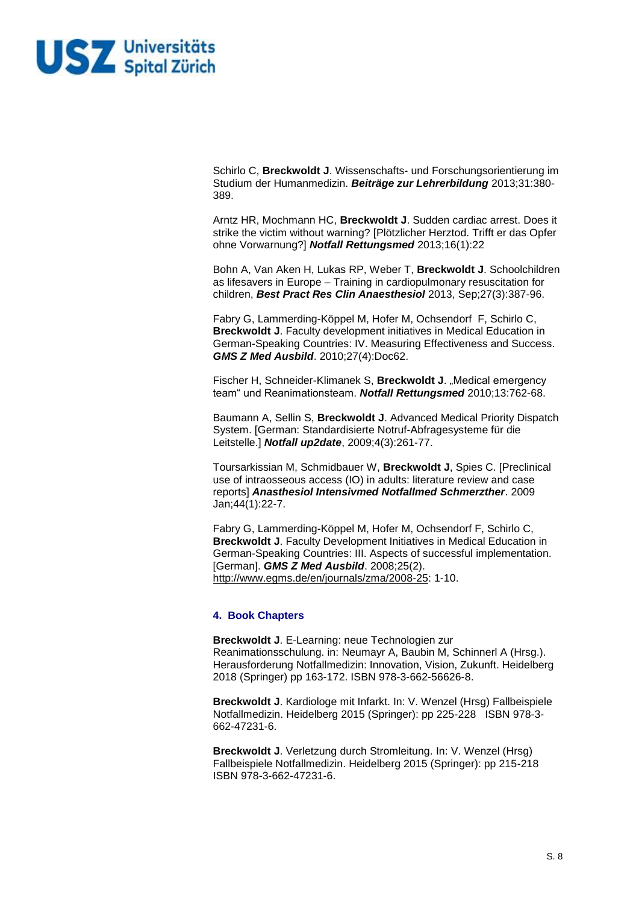

Schirlo C, **Breckwoldt J**. Wissenschafts- und Forschungsorientierung im Studium der Humanmedizin. *Beiträge zur Lehrerbildung* 2013;31:380- 389.

Arntz HR, Mochmann HC, **Breckwoldt J**. Sudden cardiac arrest. Does it strike the victim without warning? [Plötzlicher Herztod. Trifft er das Opfer ohne Vorwarnung?] *Notfall Rettungsmed* 2013;16(1):22

Bohn A, Van Aken H, Lukas RP, Weber T, **Breckwoldt J**. Schoolchildren as lifesavers in Europe – Training in cardiopulmonary resuscitation for children, *Best Pract Res Clin Anaesthesiol* 2013, Sep;27(3):387-96.

Fabry G, Lammerding-Köppel M, Hofer M, Ochsendorf F, Schirlo C, **Breckwoldt J**. Faculty development initiatives in Medical Education in German-Speaking Countries: IV. Measuring Effectiveness and Success. *GMS Z Med Ausbild*. 2010;27(4):Doc62.

Fischer H, Schneider-Klimanek S, Breckwoldt J. "Medical emergency team" und Reanimationsteam. *Notfall Rettungsmed* 2010;13:762-68.

Baumann A, Sellin S, **Breckwoldt J**. Advanced Medical Priority Dispatch System. [German: Standardisierte Notruf-Abfragesysteme für die Leitstelle.] *Notfall up2date*, 2009;4(3):261-77.

Toursarkissian M, Schmidbauer W, **Breckwoldt J**, Spies C. [\[Preclinical](http://www.ncbi.nlm.nih.gov/pubmed/19115184?itool=EntrezSystem2.PEntrez.Pubmed.Pubmed_ResultsPanel.Pubmed_RVDocSum&ordinalpos=3)  [use of intraosseous access \(IO\) in adults: literature review and case](http://www.ncbi.nlm.nih.gov/pubmed/19115184?itool=EntrezSystem2.PEntrez.Pubmed.Pubmed_ResultsPanel.Pubmed_RVDocSum&ordinalpos=3)  [reports\]](http://www.ncbi.nlm.nih.gov/pubmed/19115184?itool=EntrezSystem2.PEntrez.Pubmed.Pubmed_ResultsPanel.Pubmed_RVDocSum&ordinalpos=3) *Anasthesiol Intensivmed Notfallmed Schmerzther*. 2009 Jan;44(1):22-7.

Fabry G, Lammerding-Köppel M, Hofer M, Ochsendorf F, Schirlo C, **Breckwoldt J**. Faculty Development Initiatives in Medical Education in German-Speaking Countries: III. Aspects of successful implementation. [German]. *GMS Z Med Ausbild*. 2008;25(2). [http://www.egms.de/en/journals/zma/2008-25:](http://www.egms.de/en/journals/zma/2008-25) 1-10.

## **4. Book Chapters**

**Breckwoldt J**. E-Learning: neue Technologien zur Reanimationsschulung. in: Neumayr A, Baubin M, Schinnerl A (Hrsg.). Herausforderung Notfallmedizin: Innovation, Vision, Zukunft. Heidelberg 2018 (Springer) pp 163-172. ISBN 978-3-662-56626-8.

**Breckwoldt J**. Kardiologe mit Infarkt. In: V. Wenzel (Hrsg) Fallbeispiele Notfallmedizin. Heidelberg 2015 (Springer): pp 225-228 ISBN 978-3- 662-47231-6.

**Breckwoldt J**. Verletzung durch Stromleitung. In: V. Wenzel (Hrsg) Fallbeispiele Notfallmedizin. Heidelberg 2015 (Springer): pp 215-218 ISBN 978-3-662-47231-6.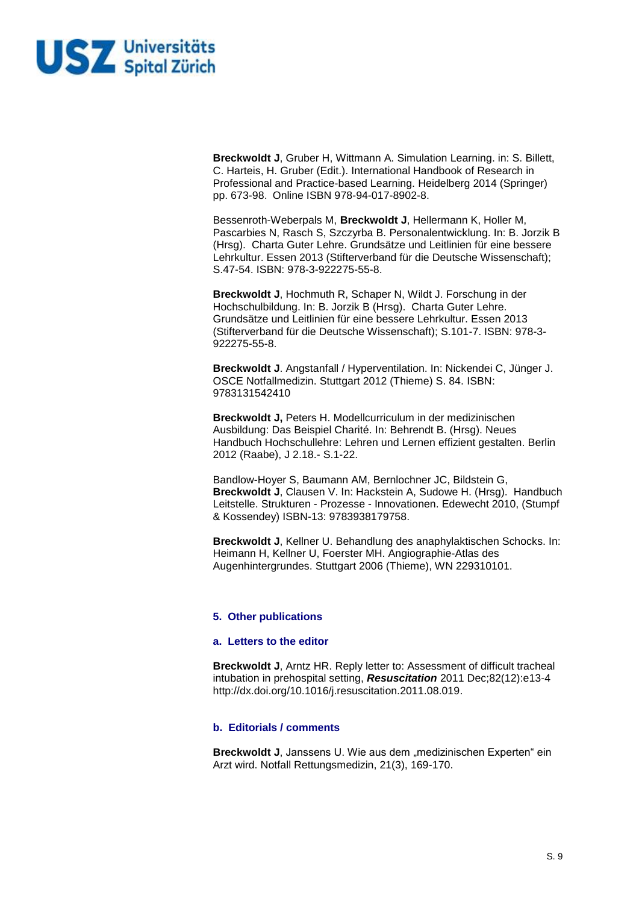

**Breckwoldt J**, Gruber H, Wittmann A. Simulation Learning. in: S. Billett, C. Harteis, H. Gruber (Edit.). International Handbook of Research in Professional and Practice-based Learning. Heidelberg 2014 (Springer) pp. 673-98. Online ISBN 978-94-017-8902-8.

Bessenroth-Weberpals M, **Breckwoldt J**, Hellermann K, Holler M, Pascarbies N, Rasch S, Szczyrba B. Personalentwicklung. In: B. Jorzik B (Hrsg). Charta Guter Lehre. Grundsätze und Leitlinien für eine bessere Lehrkultur. Essen 2013 (Stifterverband für die Deutsche Wissenschaft); S.47-54. ISBN: 978-3-922275-55-8.

**Breckwoldt J**, Hochmuth R, Schaper N, Wildt J. Forschung in der Hochschulbildung. In: B. Jorzik B (Hrsg). Charta Guter Lehre. Grundsätze und Leitlinien für eine bessere Lehrkultur. Essen 2013 (Stifterverband für die Deutsche Wissenschaft); S.101-7. ISBN: 978-3- 922275-55-8.

**Breckwoldt J**. Angstanfall / Hyperventilation. In: Nickendei C, Jünger J. OSCE Notfallmedizin. Stuttgart 2012 (Thieme) S. 84. ISBN: 9783131542410

**Breckwoldt J,** Peters H. Modellcurriculum in der medizinischen Ausbildung: Das Beispiel Charité. In: Behrendt B. (Hrsg). Neues Handbuch Hochschullehre: Lehren und Lernen effizient gestalten. Berlin 2012 (Raabe), J 2.18.- S.1-22.

Bandlow-Hoyer S, Baumann AM, Bernlochner JC, Bildstein G, **Breckwoldt J**, Clausen V. In: Hackstein A, Sudowe H. (Hrsg). Handbuch Leitstelle. Strukturen - Prozesse - Innovationen. Edewecht 2010, (Stumpf & Kossendey) ISBN-13: 9783938179758.

**Breckwoldt J**, Kellner U. Behandlung des anaphylaktischen Schocks. In: Heimann H, Kellner U, Foerster MH. Angiographie-Atlas des Augenhintergrundes. Stuttgart 2006 (Thieme), WN 229310101.

# **5. Other publications**

### **a. Letters to the editor**

**Breckwoldt J**, Arntz HR. Reply letter to: Assessment of difficult tracheal intubation in prehospital setting, *Resuscitation* 2011 Dec;82(12):e13-4 [http://dx.doi.org/10.1016/j.resuscitation.2011.08.019.](https://exchange.charite.de/owa/redir.aspx?C=39ea255efb4e464682390509a09d1dab&URL=http%3a%2f%2fdx.doi.org%2f10.1016%2fj.resuscitation.2011.08.019)

# **b. Editorials / comments**

**Breckwoldt J**, Janssens U. Wie aus dem "medizinischen Experten" ein Arzt wird. Notfall Rettungsmedizin, 21(3), 169-170.